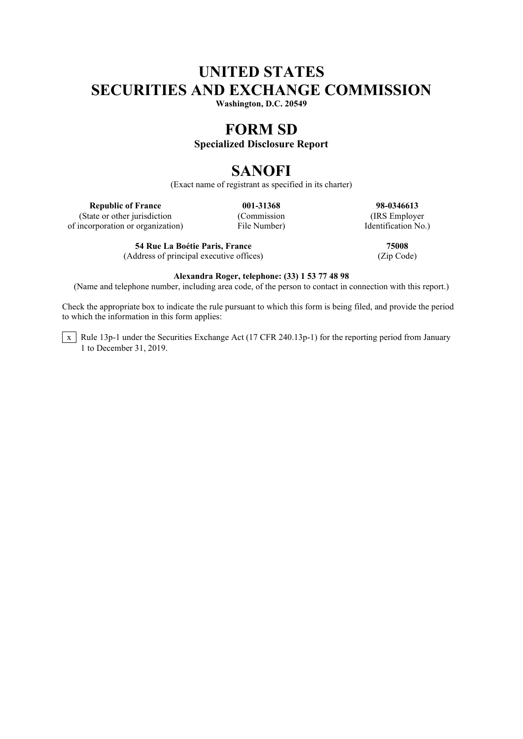# **UNITED STATES SECURITIES AND EXCHANGE COMMISSION**

**Washington, D.C. 20549**

# **FORM SD**

## **Specialized Disclosure Report**

# **SANOFI**

(Exact name of registrant as specified in its charter)

(State or other jurisdiction of incorporation or organization) File Number) Identification No.)

**54 Rue La Boétie Paris, France 75008** (Address of principal executive offices) (Zip Code)

**Republic of France 001-31368 98-0346613**<br> **128-0346613**<br> **128-0346613**<br> **128-0346613**<br> **128-0346613**<br> **128-0346613** 

### **Alexandra Roger, telephone: (33) 1 53 77 48 98**

(Name and telephone number, including area code, of the person to contact in connection with this report.)

Check the appropriate box to indicate the rule pursuant to which this form is being filed, and provide the period to which the information in this form applies:

 $\overline{x}$  Rule 13p-1 under the Securities Exchange Act (17 CFR 240.13p-1) for the reporting period from January 1 to December 31, 2019.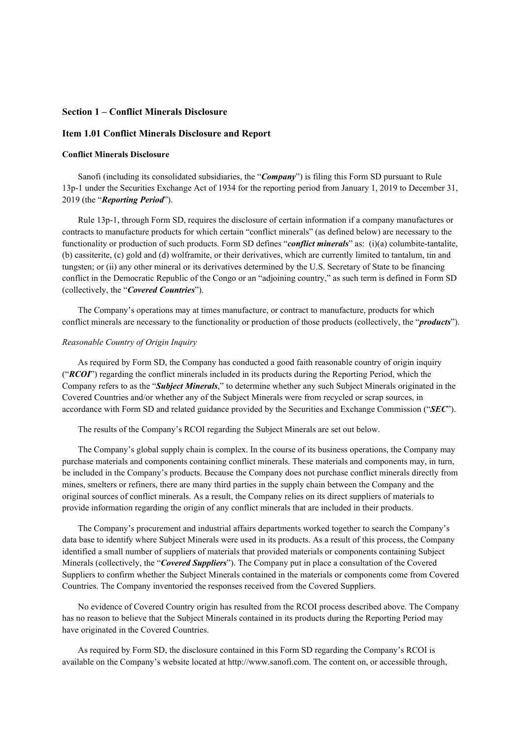### **Section 1 – Conflict Minerals Disclosure**

### **Item 1.01 Conflict Minerals Disclosure and Report**

#### **Conflict Minerals Disclosure**

Sanofi (including its consolidated subsidiaries, the "*Company*") is filing this Form SD pursuant to Rule 13p-1 under the Securities Exchange Act of 1934 for the reporting period from January 1, 2019 to December 31, 2019 (the "*Reporting Period*").

Rule 13p-1, through Form SD, requires the disclosure of certain information if a company manufactures or contracts to manufacture products for which certain "conflict minerals" (as defined below) are necessary to the functionality or production of such products. Form SD defines "*conflict minerals*" as: (i)(a) columbite-tantalite, (b) cassiterite, (c) gold and (d) wolframite, or their derivatives, which are currently limited to tantalum, tin and tungsten; or (ii) any other mineral or its derivatives determined by the U.S. Secretary of State to be financing conflict in the Democratic Republic of the Congo or an "adjoining country," as such term is defined in Form SD (collectively, the "*Covered Countries*").

The Company's operations may at times manufacture, or contract to manufacture, products for which conflict minerals are necessary to the functionality or production of those products (collectively, the "*products*").

#### *Reasonable Country of Origin Inquiry*

As required by Form SD, the Company has conducted a good faith reasonable country of origin inquiry ("*RCOI*") regarding the conflict minerals included in its products during the Reporting Period, which the Company refers to as the "*Subject Minerals*," to determine whether any such Subject Minerals originated in the Covered Countries and/or whether any of the Subject Minerals were from recycled or scrap sources, in accordance with Form SD and related guidance provided by the Securities and Exchange Commission ("*SEC*").

The results of the Company's RCOI regarding the Subject Minerals are set out below.

The Company's global supply chain is complex. In the course of its business operations, the Company may purchase materials and components containing conflict minerals. These materials and components may, in turn, be included in the Company's products. Because the Company does not purchase conflict minerals directly from mines, smelters or refiners, there are many third parties in the supply chain between the Company and the original sources of conflict minerals. As a result, the Company relies on its direct suppliers of materials to provide information regarding the origin of any conflict minerals that are included in their products.

The Company's procurement and industrial affairs departments worked together to search the Company's data base to identify where Subject Minerals were used in its products. As a result of this process, the Company identified a small number of suppliers of materials that provided materials or components containing Subject Minerals (collectively, the "*Covered Suppliers*"). The Company put in place a consultation of the Covered Suppliers to confirm whether the Subject Minerals contained in the materials or components come from Covered Countries. The Company inventoried the responses received from the Covered Suppliers.

No evidence of Covered Country origin has resulted from the RCOI process described above. The Company has no reason to believe that the Subject Minerals contained in its products during the Reporting Period may have originated in the Covered Countries.

As required by Form SD, the disclosure contained in this Form SD regarding the Company's RCOI is available on the Company's website located at http://www.sanofi.com. The content on, or accessible through,